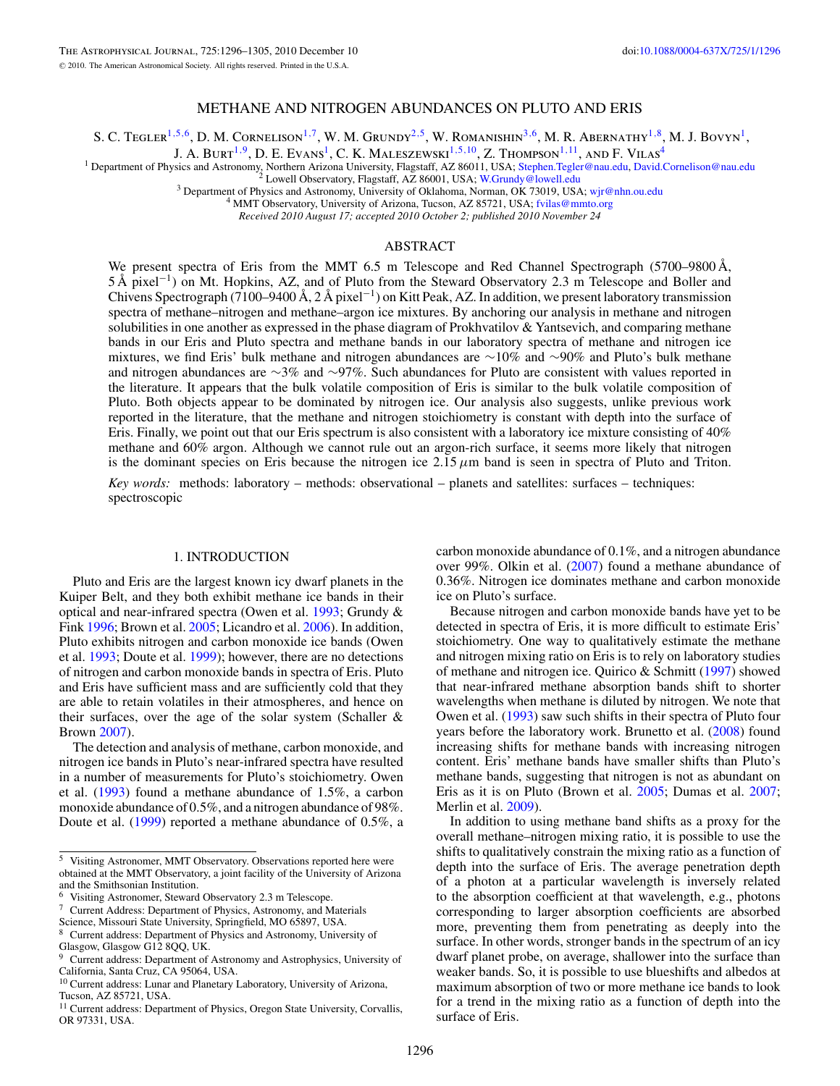# METHANE AND NITROGEN ABUNDANCES ON PLUTO AND ERIS

S. C. Tegler<sup>1,5,6</sup>, D. M. Cornelison<sup>1,7</sup>, W. M. Grundy<sup>2,5</sup>, W. Romanishin<sup>3,6</sup>, M. R. Abernathy<sup>1,8</sup>, M. J. Bovyn<sup>1</sup>,

J. A. Burt<sup>1,9</sup>, D. E. Evans<sup>1</sup>, C. K. Maleszewski<sup>1,5,10</sup>, Z. Thompson<sup>1,11</sup>, and F. Vilas<sup>4</sup>

<sup>1</sup> Department of Physics and Astronomy, Northern Arizona University, Flagstaff, AZ 86011, USA; [Stephen.Tegler@nau.edu,](mailto:Stephen.Tegler@nau.edu) [David.Cornelison@nau.edu](mailto:David.Cornelison@nau.edu) <sup>2</sup> Lowell Observatory, Flagstaff, AZ 86001, USA; Stephen.Tegler@nau.edu, Da

*Received 2010 August 17; accepted 2010 October 2; published 2010 November 24*

# ABSTRACT

We present spectra of Eris from the MMT 6.5 m Telescope and Red Channel Spectrograph (5700–9800 Å, 5 Å pixel−1) on Mt. Hopkins, AZ, and of Pluto from the Steward Observatory 2.3 m Telescope and Boller and Chivens Spectrograph (7100–9400 Å, 2 Å pixel<sup>-1</sup>) on Kitt Peak, AZ. In addition, we present laboratory transmission spectra of methane–nitrogen and methane–argon ice mixtures. By anchoring our analysis in methane and nitrogen solubilities in one another as expressed in the phase diagram of Prokhvatilov & Yantsevich, and comparing methane bands in our Eris and Pluto spectra and methane bands in our laboratory spectra of methane and nitrogen ice mixtures, we find Eris' bulk methane and nitrogen abundances are ∼10% and ∼90% and Pluto's bulk methane and nitrogen abundances are ∼3% and ∼97%. Such abundances for Pluto are consistent with values reported in the literature. It appears that the bulk volatile composition of Eris is similar to the bulk volatile composition of Pluto. Both objects appear to be dominated by nitrogen ice. Our analysis also suggests, unlike previous work reported in the literature, that the methane and nitrogen stoichiometry is constant with depth into the surface of Eris. Finally, we point out that our Eris spectrum is also consistent with a laboratory ice mixture consisting of 40% methane and 60% argon. Although we cannot rule out an argon-rich surface, it seems more likely that nitrogen is the dominant species on Eris because the nitrogen ice  $2.15 \mu m$  band is seen in spectra of Pluto and Triton.

*Key words:* methods: laboratory – methods: observational – planets and satellites: surfaces – techniques: spectroscopic

#### 1. INTRODUCTION

Pluto and Eris are the largest known icy dwarf planets in the Kuiper Belt, and they both exhibit methane ice bands in their optical and near-infrared spectra (Owen et al. [1993;](#page-9-0) Grundy & Fink [1996;](#page-9-0) Brown et al. [2005;](#page-9-0) Licandro et al. [2006\)](#page-9-0). In addition, Pluto exhibits nitrogen and carbon monoxide ice bands (Owen et al. [1993;](#page-9-0) Doute et al. [1999\)](#page-9-0); however, there are no detections of nitrogen and carbon monoxide bands in spectra of Eris. Pluto and Eris have sufficient mass and are sufficiently cold that they are able to retain volatiles in their atmospheres, and hence on their surfaces, over the age of the solar system (Schaller & Brown [2007\)](#page-9-0).

The detection and analysis of methane, carbon monoxide, and nitrogen ice bands in Pluto's near-infrared spectra have resulted in a number of measurements for Pluto's stoichiometry. Owen et al. [\(1993\)](#page-9-0) found a methane abundance of 1.5%, a carbon monoxide abundance of 0.5%, and a nitrogen abundance of 98%. Doute et al. [\(1999\)](#page-9-0) reported a methane abundance of 0.5%, a carbon monoxide abundance of 0.1%, and a nitrogen abundance over 99%. Olkin et al. [\(2007\)](#page-9-0) found a methane abundance of 0.36%. Nitrogen ice dominates methane and carbon monoxide ice on Pluto's surface.

Because nitrogen and carbon monoxide bands have yet to be detected in spectra of Eris, it is more difficult to estimate Eris' stoichiometry. One way to qualitatively estimate the methane and nitrogen mixing ratio on Eris is to rely on laboratory studies of methane and nitrogen ice. Quirico & Schmitt [\(1997\)](#page-9-0) showed that near-infrared methane absorption bands shift to shorter wavelengths when methane is diluted by nitrogen. We note that Owen et al. [\(1993\)](#page-9-0) saw such shifts in their spectra of Pluto four years before the laboratory work. Brunetto et al. [\(2008\)](#page-9-0) found increasing shifts for methane bands with increasing nitrogen content. Eris' methane bands have smaller shifts than Pluto's methane bands, suggesting that nitrogen is not as abundant on Eris as it is on Pluto (Brown et al. [2005;](#page-9-0) Dumas et al. [2007;](#page-9-0) Merlin et al. [2009\)](#page-9-0).

In addition to using methane band shifts as a proxy for the overall methane–nitrogen mixing ratio, it is possible to use the shifts to qualitatively constrain the mixing ratio as a function of depth into the surface of Eris. The average penetration depth of a photon at a particular wavelength is inversely related to the absorption coefficient at that wavelength, e.g., photons corresponding to larger absorption coefficients are absorbed more, preventing them from penetrating as deeply into the surface. In other words, stronger bands in the spectrum of an icy dwarf planet probe, on average, shallower into the surface than weaker bands. So, it is possible to use blueshifts and albedos at maximum absorption of two or more methane ice bands to look for a trend in the mixing ratio as a function of depth into the surface of Eris.

 $\overline{\text{5}}$  Visiting Astronomer, MMT Observatory. Observations reported here were obtained at the MMT Observatory, a joint facility of the University of Arizona and the Smithsonian Institution.

<sup>&</sup>lt;sup>6</sup> Visiting Astronomer, Steward Observatory 2.3 m Telescope.

<sup>7</sup> Current Address: Department of Physics, Astronomy, and Materials

Science, Missouri State University, Springfield, MO 65897, USA.

<sup>8</sup> Current address: Department of Physics and Astronomy, University of Glasgow, Glasgow G12 8QQ, UK.<br><sup>9</sup> Current address: Department of

<sup>9</sup> Current address: Department of Astronomy and Astrophysics, University of California, Santa Cruz, CA 95064, USA.

<sup>&</sup>lt;sup>10</sup> Current address: Lunar and Planetary Laboratory, University of Arizona, Tucson, AZ 85721, USA.

<sup>&</sup>lt;sup>11</sup> Current address: Department of Physics, Oregon State University, Corvallis, OR 97331, USA.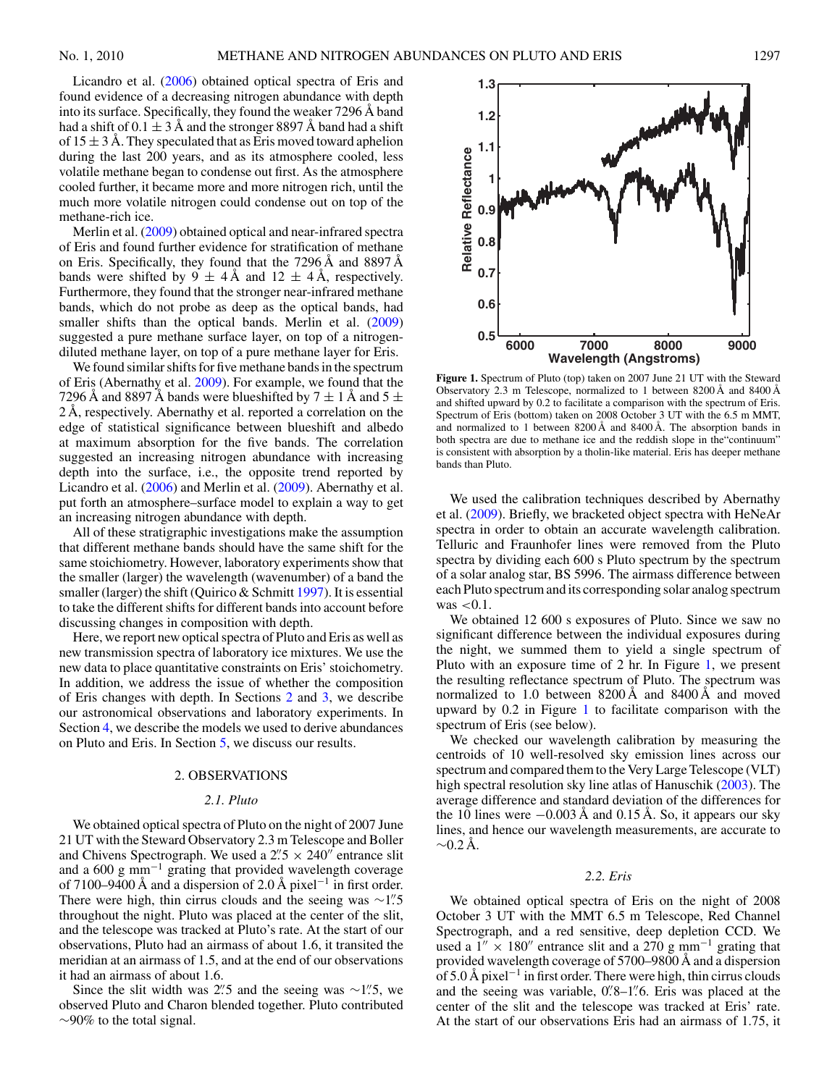<span id="page-1-0"></span>Licandro et al. [\(2006\)](#page-9-0) obtained optical spectra of Eris and found evidence of a decreasing nitrogen abundance with depth into its surface. Specifically, they found the weaker 7296 Å band had a shift of  $0.1 \pm 3$  Å and the stronger 8897 Å band had a shift of  $15 \pm 3$  Å. They speculated that as Eris moved toward aphelion during the last 200 years, and as its atmosphere cooled, less volatile methane began to condense out first. As the atmosphere cooled further, it became more and more nitrogen rich, until the much more volatile nitrogen could condense out on top of the methane-rich ice.

Merlin et al. [\(2009\)](#page-9-0) obtained optical and near-infrared spectra of Eris and found further evidence for stratification of methane on Eris. Specifically, they found that the 7296 Å and 8897 Å bands were shifted by  $9 \pm 4$  Å and  $12 \pm 4$  Å, respectively. Furthermore, they found that the stronger near-infrared methane bands, which do not probe as deep as the optical bands, had smaller shifts than the optical bands. Merlin et al. [\(2009\)](#page-9-0) suggested a pure methane surface layer, on top of a nitrogendiluted methane layer, on top of a pure methane layer for Eris.

We found similar shifts for five methane bands in the spectrum of Eris (Abernathy et al. [2009\)](#page-9-0). For example, we found that the 7296 Å and 8897 Å bands were blueshifted by  $7 \pm 1$  Å and  $5 \pm 1$ 2 Å, respectively. Abernathy et al. reported a correlation on the edge of statistical significance between blueshift and albedo at maximum absorption for the five bands. The correlation suggested an increasing nitrogen abundance with increasing depth into the surface, i.e., the opposite trend reported by Licandro et al. [\(2006\)](#page-9-0) and Merlin et al. [\(2009\)](#page-9-0). Abernathy et al. put forth an atmosphere–surface model to explain a way to get an increasing nitrogen abundance with depth.

All of these stratigraphic investigations make the assumption that different methane bands should have the same shift for the same stoichiometry. However, laboratory experiments show that the smaller (larger) the wavelength (wavenumber) of a band the smaller (larger) the shift (Quirico  $&$  Schmitt [1997\)](#page-9-0). It is essential to take the different shifts for different bands into account before discussing changes in composition with depth.

Here, we report new optical spectra of Pluto and Eris as well as new transmission spectra of laboratory ice mixtures. We use the new data to place quantitative constraints on Eris' stoichometry. In addition, we address the issue of whether the composition of Eris changes with depth. In Sections 2 and [3,](#page-2-0) we describe our astronomical observations and laboratory experiments. In Section [4,](#page-5-0) we describe the models we used to derive abundances on Pluto and Eris. In Section [5,](#page-8-0) we discuss our results.

#### 2. OBSERVATIONS

# *2.1. Pluto*

We obtained optical spectra of Pluto on the night of 2007 June 21 UT with the Steward Observatory 2.3 m Telescope and Boller and Chivens Spectrograph. We used a  $2\frac{7}{5} \times 240$ <sup>n</sup> entrance slit and a 600 g mm<sup> $-1$ </sup> grating that provided wavelength coverage of 7100–9400 Å and a dispersion of 2.0 Å pixel−<sup>1</sup> in first order. There were high, thin cirrus clouds and the seeing was ∼1<sup>*.'*.5</sup> throughout the night. Pluto was placed at the center of the slit, and the telescope was tracked at Pluto's rate. At the start of our observations, Pluto had an airmass of about 1.6, it transited the meridian at an airmass of 1.5, and at the end of our observations it had an airmass of about 1.6.

Since the slit width was 2<sup>*7*</sup>. and the seeing was ∼1<sup>*7*</sup>. we observed Pluto and Charon blended together. Pluto contributed  $\sim$ 90% to the total signal.



Observatory 2.3 m Telescope, normalized to 1 between 8200 Å and 8400 Å and shifted upward by 0.2 to facilitate a comparison with the spectrum of Eris. Spectrum of Eris (bottom) taken on 2008 October 3 UT with the 6.5 m MMT, and normalized to 1 between 8200 Å and 8400 Å. The absorption bands in both spectra are due to methane ice and the reddish slope in the"continuum" is consistent with absorption by a tholin-like material. Eris has deeper methane bands than Pluto.

We used the calibration techniques described by Abernathy et al. [\(2009\)](#page-9-0). Briefly, we bracketed object spectra with HeNeAr spectra in order to obtain an accurate wavelength calibration. Telluric and Fraunhofer lines were removed from the Pluto spectra by dividing each 600 s Pluto spectrum by the spectrum of a solar analog star, BS 5996. The airmass difference between each Pluto spectrum and its corresponding solar analog spectrum was *<*0.1.

We obtained 12 600 s exposures of Pluto. Since we saw no significant difference between the individual exposures during the night, we summed them to yield a single spectrum of Pluto with an exposure time of 2 hr. In Figure 1, we present the resulting reflectance spectrum of Pluto. The spectrum was normalized to 1.0 between 8200 Å and 8400 Å and moved upward by 0.2 in Figure 1 to facilitate comparison with the spectrum of Eris (see below).

We checked our wavelength calibration by measuring the centroids of 10 well-resolved sky emission lines across our spectrum and compared them to the Very Large Telescope (VLT) high spectral resolution sky line atlas of Hanuschik [\(2003\)](#page-9-0). The average difference and standard deviation of the differences for the 10 lines were  $-0.003 \text{ Å}$  and 0.15 Å. So, it appears our sky lines, and hence our wavelength measurements, are accurate to  $\sim$ 0.2 Å.

### *2.2. Eris*

We obtained optical spectra of Eris on the night of 2008 October 3 UT with the MMT 6.5 m Telescope, Red Channel Spectrograph, and a red sensitive, deep depletion CCD. We used a  $1'' \times 180''$  entrance slit and a 270 g mm<sup>-1</sup> grating that provided wavelength coverage of 5700–9800 Å and a dispersion of 5.0 Å pixel−<sup>1</sup> in first order. There were high, thin cirrus clouds and the seeing was variable, 0*.* 8–1*.* 6. Eris was placed at the center of the slit and the telescope was tracked at Eris' rate. At the start of our observations Eris had an airmass of 1.75, it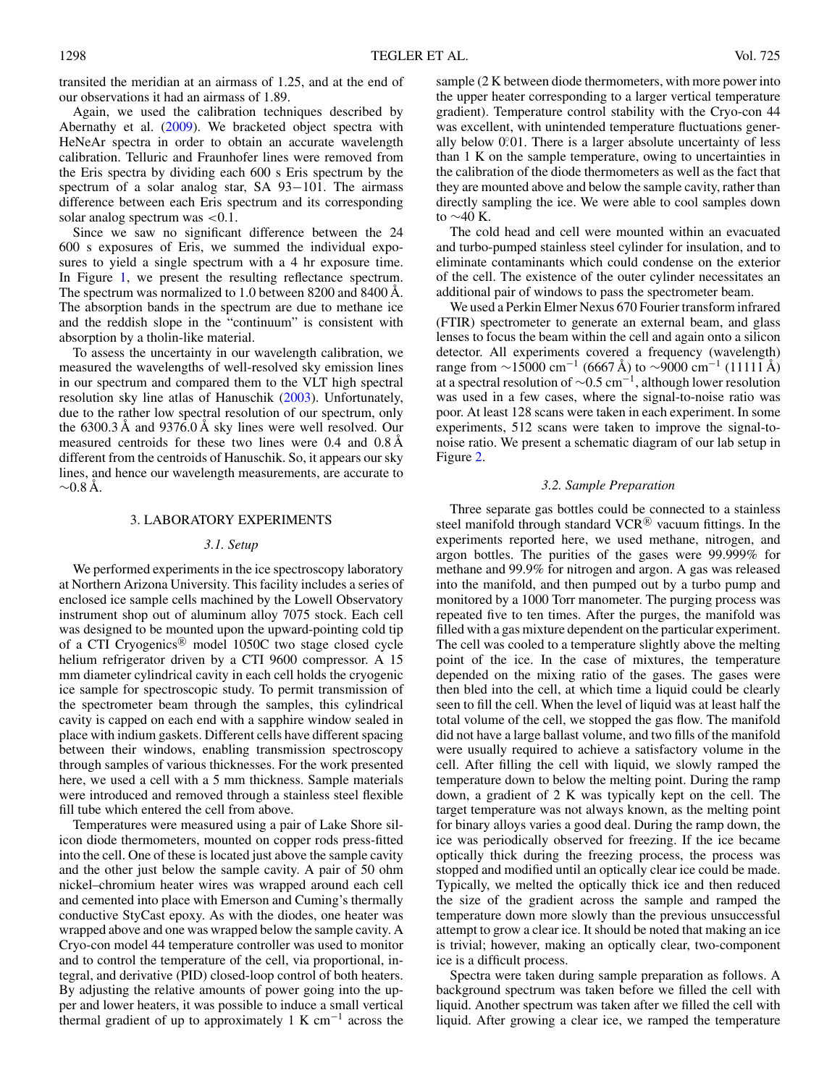<span id="page-2-0"></span>transited the meridian at an airmass of 1.25, and at the end of our observations it had an airmass of 1.89.

Again, we used the calibration techniques described by Abernathy et al. [\(2009\)](#page-9-0). We bracketed object spectra with HeNeAr spectra in order to obtain an accurate wavelength calibration. Telluric and Fraunhofer lines were removed from the Eris spectra by dividing each 600 s Eris spectrum by the spectrum of a solar analog star, SA 93-101. The airmass difference between each Eris spectrum and its corresponding solar analog spectrum was *<*0.1.

Since we saw no significant difference between the 24 600 s exposures of Eris, we summed the individual exposures to yield a single spectrum with a 4 hr exposure time. In Figure [1,](#page-1-0) we present the resulting reflectance spectrum. The spectrum was normalized to 1.0 between 8200 and 8400 Å. The absorption bands in the spectrum are due to methane ice and the reddish slope in the "continuum" is consistent with absorption by a tholin-like material.

To assess the uncertainty in our wavelength calibration, we measured the wavelengths of well-resolved sky emission lines in our spectrum and compared them to the VLT high spectral resolution sky line atlas of Hanuschik [\(2003\)](#page-9-0). Unfortunately, due to the rather low spectral resolution of our spectrum, only the 6300.3 Å and 9376.0 Å sky lines were well resolved. Our measured centroids for these two lines were 0.4 and 0.8 Å different from the centroids of Hanuschik. So, it appears our sky lines, and hence our wavelength measurements, are accurate to  $~\sim$ 0.8 Å.

# 3. LABORATORY EXPERIMENTS

#### *3.1. Setup*

We performed experiments in the ice spectroscopy laboratory at Northern Arizona University. This facility includes a series of enclosed ice sample cells machined by the Lowell Observatory instrument shop out of aluminum alloy 7075 stock. Each cell was designed to be mounted upon the upward-pointing cold tip of a CTI Cryogenics<sup>®</sup> model 1050C two stage closed cycle helium refrigerator driven by a CTI 9600 compressor. A 15 mm diameter cylindrical cavity in each cell holds the cryogenic ice sample for spectroscopic study. To permit transmission of the spectrometer beam through the samples, this cylindrical cavity is capped on each end with a sapphire window sealed in place with indium gaskets. Different cells have different spacing between their windows, enabling transmission spectroscopy through samples of various thicknesses. For the work presented here, we used a cell with a 5 mm thickness. Sample materials were introduced and removed through a stainless steel flexible fill tube which entered the cell from above.

Temperatures were measured using a pair of Lake Shore silicon diode thermometers, mounted on copper rods press-fitted into the cell. One of these is located just above the sample cavity and the other just below the sample cavity. A pair of 50 ohm nickel–chromium heater wires was wrapped around each cell and cemented into place with Emerson and Cuming's thermally conductive StyCast epoxy. As with the diodes, one heater was wrapped above and one was wrapped below the sample cavity. A Cryo-con model 44 temperature controller was used to monitor and to control the temperature of the cell, via proportional, integral, and derivative (PID) closed-loop control of both heaters. By adjusting the relative amounts of power going into the upper and lower heaters, it was possible to induce a small vertical thermal gradient of up to approximately 1 K cm<sup>-1</sup> across the

sample (2 K between diode thermometers, with more power into the upper heater corresponding to a larger vertical temperature gradient). Temperature control stability with the Cryo-con 44 was excellent, with unintended temperature fluctuations generally below 0.01. There is a larger absolute uncertainty of less than 1 K on the sample temperature, owing to uncertainties in the calibration of the diode thermometers as well as the fact that they are mounted above and below the sample cavity, rather than directly sampling the ice. We were able to cool samples down to ∼40 K.

The cold head and cell were mounted within an evacuated and turbo-pumped stainless steel cylinder for insulation, and to eliminate contaminants which could condense on the exterior of the cell. The existence of the outer cylinder necessitates an additional pair of windows to pass the spectrometer beam.

We used a Perkin Elmer Nexus 670 Fourier transform infrared (FTIR) spectrometer to generate an external beam, and glass lenses to focus the beam within the cell and again onto a silicon detector. All experiments covered a frequency (wavelength) range from  $\sim$ 15000 cm<sup>-1</sup> (6667 Å) to  $\sim$ 9000 cm<sup>-1</sup> (11111 Å) at a spectral resolution of  $\sim 0.5$  cm<sup>-1</sup>, although lower resolution was used in a few cases, where the signal-to-noise ratio was poor. At least 128 scans were taken in each experiment. In some experiments, 512 scans were taken to improve the signal-tonoise ratio. We present a schematic diagram of our lab setup in Figure [2.](#page-3-0)

### *3.2. Sample Preparation*

Three separate gas bottles could be connected to a stainless steel manifold through standard  $VCR^{(8)}$  vacuum fittings. In the experiments reported here, we used methane, nitrogen, and argon bottles. The purities of the gases were 99.999% for methane and 99.9% for nitrogen and argon. A gas was released into the manifold, and then pumped out by a turbo pump and monitored by a 1000 Torr manometer. The purging process was repeated five to ten times. After the purges, the manifold was filled with a gas mixture dependent on the particular experiment. The cell was cooled to a temperature slightly above the melting point of the ice. In the case of mixtures, the temperature depended on the mixing ratio of the gases. The gases were then bled into the cell, at which time a liquid could be clearly seen to fill the cell. When the level of liquid was at least half the total volume of the cell, we stopped the gas flow. The manifold did not have a large ballast volume, and two fills of the manifold were usually required to achieve a satisfactory volume in the cell. After filling the cell with liquid, we slowly ramped the temperature down to below the melting point. During the ramp down, a gradient of 2 K was typically kept on the cell. The target temperature was not always known, as the melting point for binary alloys varies a good deal. During the ramp down, the ice was periodically observed for freezing. If the ice became optically thick during the freezing process, the process was stopped and modified until an optically clear ice could be made. Typically, we melted the optically thick ice and then reduced the size of the gradient across the sample and ramped the temperature down more slowly than the previous unsuccessful attempt to grow a clear ice. It should be noted that making an ice is trivial; however, making an optically clear, two-component ice is a difficult process.

Spectra were taken during sample preparation as follows. A background spectrum was taken before we filled the cell with liquid. Another spectrum was taken after we filled the cell with liquid. After growing a clear ice, we ramped the temperature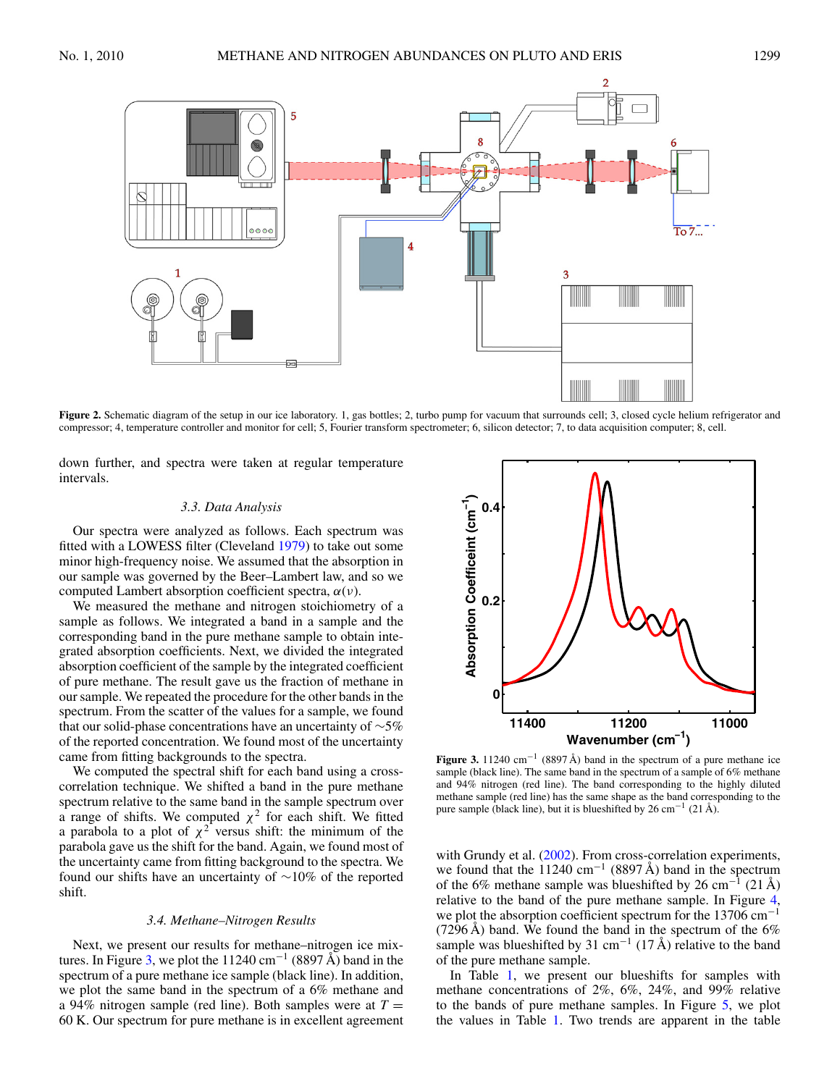<span id="page-3-0"></span>

Figure 2. Schematic diagram of the setup in our ice laboratory. 1, gas bottles; 2, turbo pump for vacuum that surrounds cell; 3, closed cycle helium refrigerator and compressor; 4, temperature controller and monitor for cell; 5, Fourier transform spectrometer; 6, silicon detector; 7, to data acquisition computer; 8, cell.

down further, and spectra were taken at regular temperature intervals.

# *3.3. Data Analysis*

Our spectra were analyzed as follows. Each spectrum was fitted with a LOWESS filter (Cleveland [1979\)](#page-9-0) to take out some minor high-frequency noise. We assumed that the absorption in our sample was governed by the Beer–Lambert law, and so we computed Lambert absorption coefficient spectra, *α*(*ν*).

We measured the methane and nitrogen stoichiometry of a sample as follows. We integrated a band in a sample and the corresponding band in the pure methane sample to obtain integrated absorption coefficients. Next, we divided the integrated absorption coefficient of the sample by the integrated coefficient of pure methane. The result gave us the fraction of methane in our sample. We repeated the procedure for the other bands in the spectrum. From the scatter of the values for a sample, we found that our solid-phase concentrations have an uncertainty of ∼5% of the reported concentration. We found most of the uncertainty came from fitting backgrounds to the spectra.

We computed the spectral shift for each band using a crosscorrelation technique. We shifted a band in the pure methane spectrum relative to the same band in the sample spectrum over a range of shifts. We computed  $\chi^2$  for each shift. We fitted a parabola to a plot of  $\chi^2$  versus shift: the minimum of the parabola gave us the shift for the band. Again, we found most of the uncertainty came from fitting background to the spectra. We found our shifts have an uncertainty of ∼10% of the reported shift.

#### *3.4. Methane–Nitrogen Results*

Next, we present our results for methane–nitrogen ice mixtures. In Figure 3, we plot the 11240 cm<sup>-1</sup> (8897 Å) band in the spectrum of a pure methane ice sample (black line). In addition, we plot the same band in the spectrum of a 6% methane and a 94% nitrogen sample (red line). Both samples were at  $T =$ 60 K. Our spectrum for pure methane is in excellent agreement



**Figure 3.** 11240 cm−<sup>1</sup> (8897 Å) band in the spectrum of a pure methane ice sample (black line). The same band in the spectrum of a sample of 6% methane and 94% nitrogen (red line). The band corresponding to the highly diluted methane sample (red line) has the same shape as the band corresponding to the pure sample (black line), but it is blueshifted by 26 cm−<sup>1</sup> (21 Å).

with Grundy et al. [\(2002\)](#page-9-0). From cross-correlation experiments, we found that the 11240 cm<sup>-1</sup> (8897 Å) band in the spectrum of the 6% methane sample was blueshifted by 26 cm<sup>-1</sup> (21 Å) relative to the band of the pure methane sample. In Figure [4,](#page-4-0) we plot the absorption coefficient spectrum for the 13706 cm<sup>-1</sup> (7296 Å) band. We found the band in the spectrum of the  $6\%$ sample was blueshifted by 31 cm<sup>-1</sup> (17 Å) relative to the band of the pure methane sample.

In Table [1,](#page-4-0) we present our blueshifts for samples with methane concentrations of 2%, 6%, 24%, and 99% relative to the bands of pure methane samples. In Figure [5,](#page-4-0) we plot the values in Table [1.](#page-4-0) Two trends are apparent in the table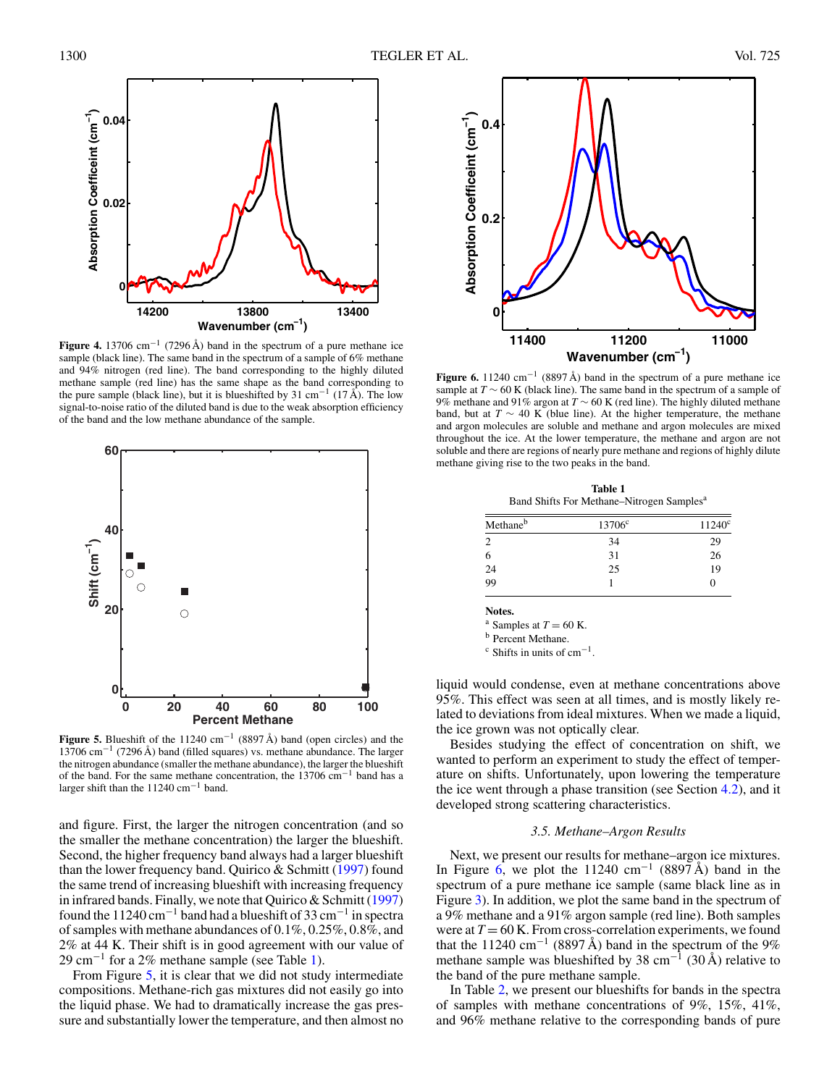<span id="page-4-0"></span>

**Figure 4.** 13706 cm−<sup>1</sup> (7296 Å) band in the spectrum of a pure methane ice sample (black line). The same band in the spectrum of a sample of 6% methane and 94% nitrogen (red line). The band corresponding to the highly diluted methane sample (red line) has the same shape as the band corresponding to the pure sample (black line), but it is blueshifted by 31 cm<sup>-1</sup> (17 Å). The low signal-to-noise ratio of the diluted band is due to the weak absorption efficiency of the band and the low methane abundance of the sample.



**Figure 5.** Blueshift of the 11240 cm<sup>−1</sup> (8897 Å) band (open circles) and the 13706 cm−<sup>1</sup> (7296 Å) band (filled squares) vs. methane abundance. The larger the nitrogen abundance (smaller the methane abundance), the larger the blueshift of the band. For the same methane concentration, the 13706 cm−<sup>1</sup> band has a larger shift than the 11240 cm−<sup>1</sup> band.

and figure. First, the larger the nitrogen concentration (and so the smaller the methane concentration) the larger the blueshift. Second, the higher frequency band always had a larger blueshift than the lower frequency band. Quirico & Schmitt [\(1997\)](#page-9-0) found the same trend of increasing blueshift with increasing frequency in infrared bands. Finally, we note that Quirico & Schmitt [\(1997\)](#page-9-0) found the 11240 cm<sup>-1</sup> band had a blueshift of 33 cm<sup>-1</sup> in spectra of samples with methane abundances of 0.1%, 0.25%, 0.8%, and 2% at 44 K. Their shift is in good agreement with our value of 29 cm<sup>-1</sup> for a 2% methane sample (see Table 1).

From Figure 5, it is clear that we did not study intermediate compositions. Methane-rich gas mixtures did not easily go into the liquid phase. We had to dramatically increase the gas pressure and substantially lower the temperature, and then almost no



**Figure 6.** 11240 cm<sup>-1</sup> (8897 Å) band in the spectrum of a pure methane ice sample at  $T \sim 60$  K (black line). The same band in the spectrum of a sample of 9% methane and 91% argon at *T* ∼ 60 K (red line). The highly diluted methane band, but at  $T \sim 40$  K (blue line). At the higher temperature, the methane and argon molecules are soluble and methane and argon molecules are mixed throughout the ice. At the lower temperature, the methane and argon are not soluble and there are regions of nearly pure methane and regions of highly dilute methane giving rise to the two peaks in the band.

**Table 1** Band Shifts For Methane–Nitrogen Samples<sup>a</sup>

| Methaneb | 13706 <sup>c</sup> | $11240^{\circ}$ |
|----------|--------------------|-----------------|
|          | 34                 | 29              |
| 6        | 31                 | 26              |
| 24       | 25                 | 19              |
| 99       |                    | 0               |

**Notes.**

<sup>a</sup> Samples at  $T = 60$  K.<br><sup>b</sup> Percent Methane.

 $\rm c$  Shifts in units of cm<sup>-1</sup>.

liquid would condense, even at methane concentrations above 95%. This effect was seen at all times, and is mostly likely related to deviations from ideal mixtures. When we made a liquid, the ice grown was not optically clear.

Besides studying the effect of concentration on shift, we wanted to perform an experiment to study the effect of temperature on shifts. Unfortunately, upon lowering the temperature the ice went through a phase transition (see Section [4.2\)](#page-6-0), and it developed strong scattering characteristics.

# *3.5. Methane–Argon Results*

Next, we present our results for methane–argon ice mixtures. In Figure 6, we plot the 11240 cm<sup>-1</sup> (8897 Å) band in the spectrum of a pure methane ice sample (same black line as in Figure [3\)](#page-3-0). In addition, we plot the same band in the spectrum of a 9% methane and a 91% argon sample (red line). Both samples were at  $T = 60$  K. From cross-correlation experiments, we found that the 11240 cm<sup>-1</sup> (8897 Å) band in the spectrum of the 9% methane sample was blueshifted by 38 cm<sup>-1</sup> (30 Å) relative to the band of the pure methane sample.

In Table [2,](#page-5-0) we present our blueshifts for bands in the spectra of samples with methane concentrations of 9%, 15%, 41%, and 96% methane relative to the corresponding bands of pure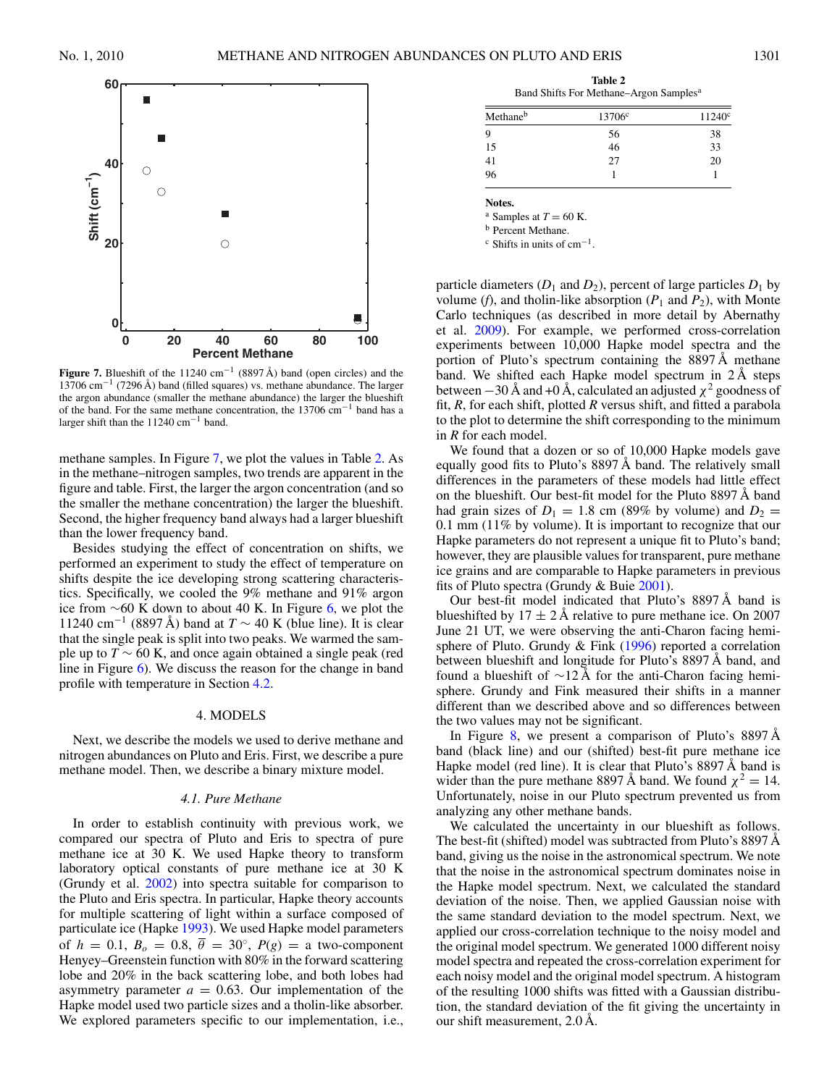<span id="page-5-0"></span>

**Figure 7.** Blueshift of the 11240 cm<sup>−1</sup> (8897 Å) band (open circles) and the 13706 cm−<sup>1</sup> (7296 Å) band (filled squares) vs. methane abundance. The larger the argon abundance (smaller the methane abundance) the larger the blueshift of the band. For the same methane concentration, the 13706 cm−<sup>1</sup> band has a larger shift than the 11240 cm−<sup>1</sup> band.

methane samples. In Figure 7, we plot the values in Table 2. As in the methane–nitrogen samples, two trends are apparent in the figure and table. First, the larger the argon concentration (and so the smaller the methane concentration) the larger the blueshift. Second, the higher frequency band always had a larger blueshift than the lower frequency band.

Besides studying the effect of concentration on shifts, we performed an experiment to study the effect of temperature on shifts despite the ice developing strong scattering characteristics. Specifically, we cooled the 9% methane and 91% argon ice from ∼60 K down to about 40 K. In Figure [6,](#page-4-0) we plot the 11240 cm<sup>-1</sup> (8897 Å) band at  $T \sim 40$  K (blue line). It is clear that the single peak is split into two peaks. We warmed the sample up to  $T \sim 60$  K, and once again obtained a single peak (red line in Figure [6\)](#page-4-0). We discuss the reason for the change in band profile with temperature in Section [4.2.](#page-6-0)

# 4. MODELS

Next, we describe the models we used to derive methane and nitrogen abundances on Pluto and Eris. First, we describe a pure methane model. Then, we describe a binary mixture model.

#### *4.1. Pure Methane*

In order to establish continuity with previous work, we compared our spectra of Pluto and Eris to spectra of pure methane ice at 30 K. We used Hapke theory to transform laboratory optical constants of pure methane ice at 30 K (Grundy et al. [2002\)](#page-9-0) into spectra suitable for comparison to the Pluto and Eris spectra. In particular, Hapke theory accounts for multiple scattering of light within a surface composed of particulate ice (Hapke [1993\)](#page-9-0). We used Hapke model parameters of  $h = 0.1, B_0 = 0.8, \overline{\theta} = 30^{\circ}, P(g) =$  a two-component Henyey–Greenstein function with 80% in the forward scattering lobe and 20% in the back scattering lobe, and both lobes had asymmetry parameter  $a = 0.63$ . Our implementation of the Hapke model used two particle sizes and a tholin-like absorber. We explored parameters specific to our implementation, i.e.,

**Table 2** Band Shifts For Methane–Argon Samples<sup>a</sup>

| Methane <sup>b</sup> | 13706 <sup>c</sup> | $11240^{\circ}$ |
|----------------------|--------------------|-----------------|
| q                    | 56                 | 38              |
| 15                   | 46                 | $\overline{33}$ |
| 41                   | 27                 | 20              |
| 96                   |                    |                 |

**Notes.**

<sup>a</sup> Samples at  $T = 60$  K.<br><sup>b</sup> Percent Methane.

 $\rm c$  Shifts in units of cm<sup>-1</sup>.

particle diameters  $(D_1 \text{ and } D_2)$ , percent of large particles  $D_1$  by volume (*f*), and tholin-like absorption ( $P_1$  and  $P_2$ ), with Monte Carlo techniques (as described in more detail by Abernathy et al. [2009\)](#page-9-0). For example, we performed cross-correlation experiments between 10,000 Hapke model spectra and the portion of Pluto's spectrum containing the 8897 Å methane band. We shifted each Hapke model spectrum in 2 Å steps between  $-30$  Å and +0 Å, calculated an adjusted  $\chi^2$  goodness of fit, *R*, for each shift, plotted *R* versus shift, and fitted a parabola to the plot to determine the shift corresponding to the minimum in *R* for each model.

We found that a dozen or so of 10,000 Hapke models gave equally good fits to Pluto's 8897 Å band. The relatively small differences in the parameters of these models had little effect on the blueshift. Our best-fit model for the Pluto 8897 Å band had grain sizes of  $D_1 = 1.8$  cm (89% by volume) and  $D_2 =$ 0.1 mm (11% by volume). It is important to recognize that our Hapke parameters do not represent a unique fit to Pluto's band; however, they are plausible values for transparent, pure methane ice grains and are comparable to Hapke parameters in previous fits of Pluto spectra (Grundy & Buie [2001\)](#page-9-0).

Our best-fit model indicated that Pluto's 8897 Å band is blueshifted by  $17 \pm 2$  Å relative to pure methane ice. On 2007 June 21 UT, we were observing the anti-Charon facing hemi-sphere of Pluto. Grundy & Fink [\(1996\)](#page-9-0) reported a correlation between blueshift and longitude for Pluto's 8897 Å band, and found a blueshift of ∼12 Å for the anti-Charon facing hemisphere. Grundy and Fink measured their shifts in a manner different than we described above and so differences between the two values may not be significant.

In Figure [8,](#page-6-0) we present a comparison of Pluto's 8897 Å band (black line) and our (shifted) best-fit pure methane ice Hapke model (red line). It is clear that Pluto's 8897 Å band is wider than the pure methane 8897 Å band. We found  $\chi^2 = 14$ . Unfortunately, noise in our Pluto spectrum prevented us from analyzing any other methane bands.

We calculated the uncertainty in our blueshift as follows. The best-fit (shifted) model was subtracted from Pluto's 8897 Å band, giving us the noise in the astronomical spectrum. We note that the noise in the astronomical spectrum dominates noise in the Hapke model spectrum. Next, we calculated the standard deviation of the noise. Then, we applied Gaussian noise with the same standard deviation to the model spectrum. Next, we applied our cross-correlation technique to the noisy model and the original model spectrum. We generated 1000 different noisy model spectra and repeated the cross-correlation experiment for each noisy model and the original model spectrum. A histogram of the resulting 1000 shifts was fitted with a Gaussian distribution, the standard deviation of the fit giving the uncertainty in our shift measurement, 2.0 Å.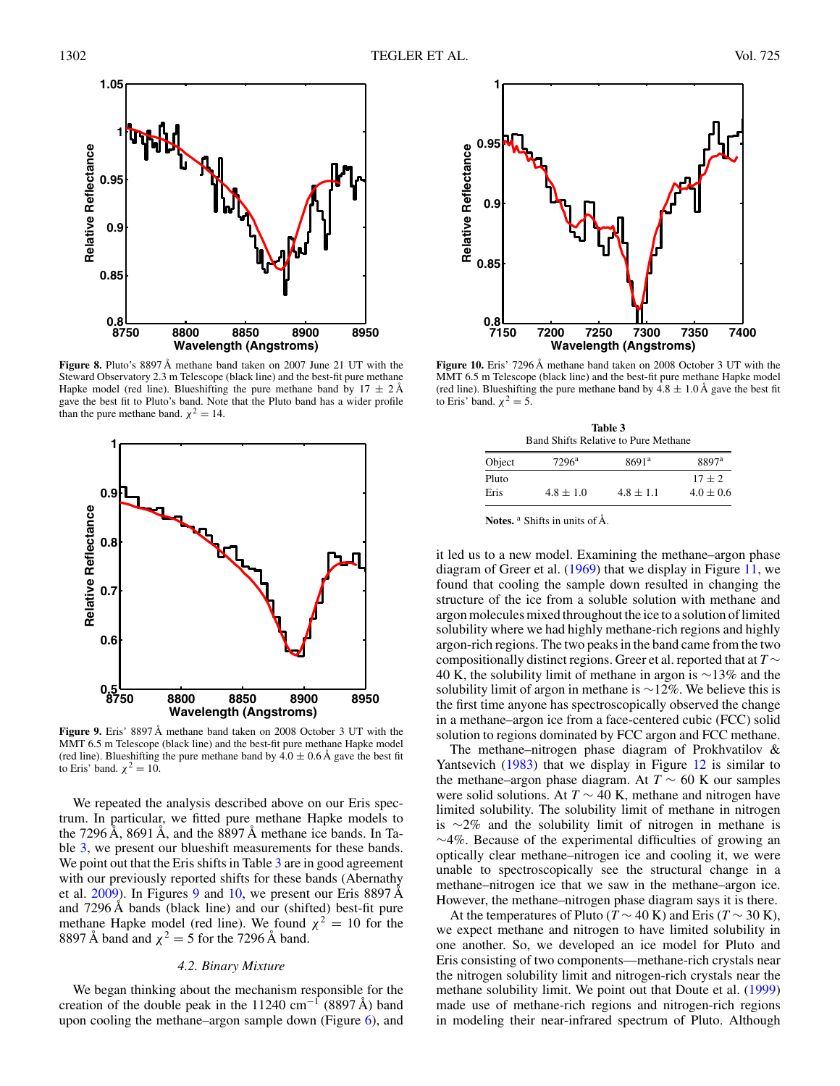<span id="page-6-0"></span>

**Figure 8.** Pluto's 8897 Å methane band taken on 2007 June 21 UT with the Steward Observatory 2.3 m Telescope (black line) and the best-fit pure methane Hapke model (red line). Blueshifting the pure methane band by  $17 \pm 2 \text{\AA}$ gave the best fit to Pluto's band. Note that the Pluto band has a wider profile than the pure methane band.  $\chi^2 = 14$ .



MMT 6.5 m Telescope (black line) and the best-fit pure methane Hapke model (red line). Blueshifting the pure methane band by  $4.0 \pm 0.6$  Å gave the best fit to Eris' band.  $\chi^2 = 10$ .

We repeated the analysis described above on our Eris spectrum. In particular, we fitted pure methane Hapke models to the 7296 Å, 8691 Å, and the 8897 Å methane ice bands. In Table 3, we present our blueshift measurements for these bands. We point out that the Eris shifts in Table 3 are in good agreement with our previously reported shifts for these bands (Abernathy et al.  $2009$ ). In Figures 9 and 10, we present our Eris 8897 Å and 7296 Å bands (black line) and our (shifted) best-fit pure methane Hapke model (red line). We found  $\chi^2 = 10$  for the 8897 Å band and  $\chi^2 = 5$  for the 7296 Å band.

# *4.2. Binary Mixture*

We began thinking about the mechanism responsible for the creation of the double peak in the 11240 cm<sup>-1</sup> (8897 Å) band upon cooling the methane–argon sample down (Figure  $6$ ), and



**Figure 10.** Eris' 7296 Å methane band taken on 2008 October 3 UT with the MMT 6.5 m Telescope (black line) and the best-fit pure methane Hapke model (red line). Blueshifting the pure methane band by  $4.8 \pm 1.0 \text{ Å}$  gave the best fit to Eris' band.  $\chi^2 = 5$ .

| Table 3                                     |  |  |  |  |
|---------------------------------------------|--|--|--|--|
| <b>Band Shifts Relative to Pure Methane</b> |  |  |  |  |

| Object | $7296^{\rm a}$ | 8691 <sup>a</sup> | 8897 <sup>a</sup> |
|--------|----------------|-------------------|-------------------|
| Pluto  |                |                   | $17 + 2$          |
| Eris   | $4.8 \pm 1.0$  | $4.8 \pm 1.1$     | $4.0 \pm 0.6$     |

**Notes.** <sup>a</sup> Shifts in units of Å.

it led us to a new model. Examining the methane–argon phase diagram of Greer et al. [\(1969\)](#page-9-0) that we display in Figure [11,](#page-7-0) we found that cooling the sample down resulted in changing the structure of the ice from a soluble solution with methane and argon molecules mixed throughout the ice to a solution of limited solubility where we had highly methane-rich regions and highly argon-rich regions. The two peaks in the band came from the two compositionally distinct regions. Greer et al. reported that at *T* ∼ 40 K, the solubility limit of methane in argon is ∼13% and the solubility limit of argon in methane is ∼12%. We believe this is the first time anyone has spectroscopically observed the change in a methane–argon ice from a face-centered cubic (FCC) solid solution to regions dominated by FCC argon and FCC methane.

The methane–nitrogen phase diagram of Prokhvatilov & Yantsevich [\(1983\)](#page-9-0) that we display in Figure [12](#page-7-0) is similar to the methane–argon phase diagram. At  $T \sim 60$  K our samples were solid solutions. At *T* ∼ 40 K, methane and nitrogen have limited solubility. The solubility limit of methane in nitrogen is ∼2% and the solubility limit of nitrogen in methane is ∼4%. Because of the experimental difficulties of growing an optically clear methane–nitrogen ice and cooling it, we were unable to spectroscopically see the structural change in a methane–nitrogen ice that we saw in the methane–argon ice. However, the methane–nitrogen phase diagram says it is there.

At the temperatures of Pluto ( $T \sim 40$  K) and Eris ( $T \sim 30$  K), we expect methane and nitrogen to have limited solubility in one another. So, we developed an ice model for Pluto and Eris consisting of two components—methane-rich crystals near the nitrogen solubility limit and nitrogen-rich crystals near the methane solubility limit. We point out that Doute et al. [\(1999\)](#page-9-0) made use of methane-rich regions and nitrogen-rich regions in modeling their near-infrared spectrum of Pluto. Although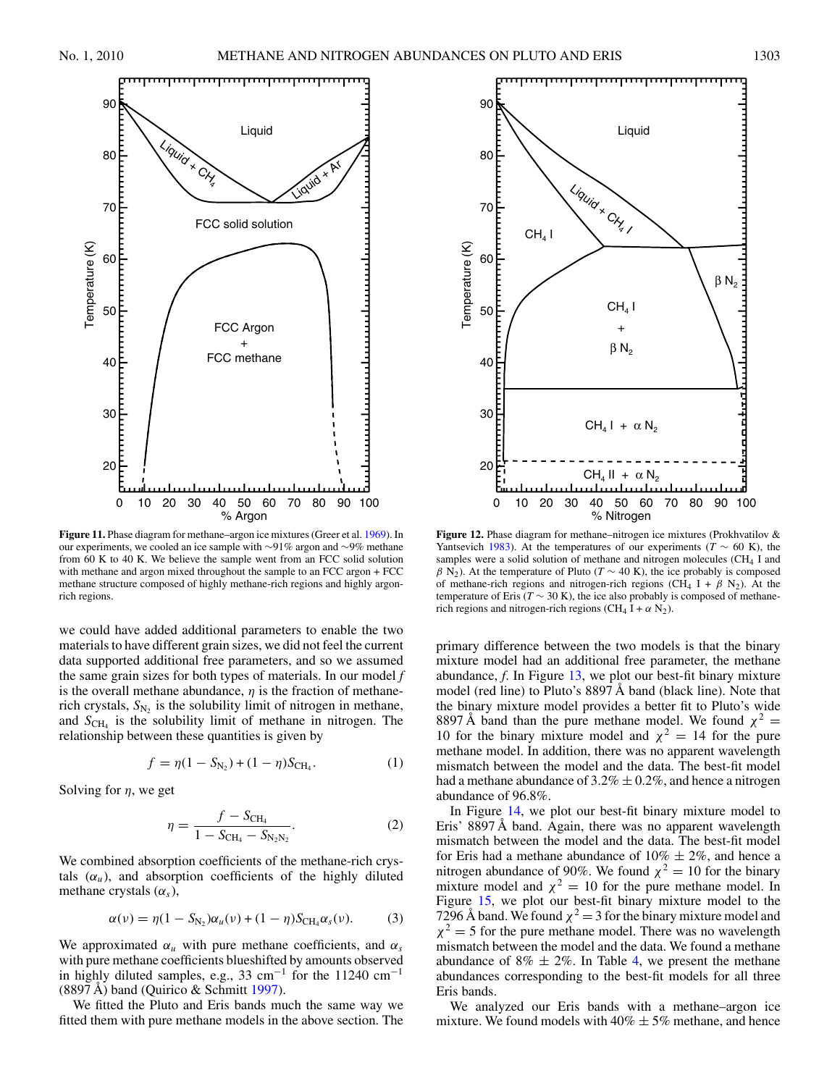<span id="page-7-0"></span>

**Figure 11.** Phase diagram for methane–argon ice mixtures (Greer et al. [1969\)](#page-9-0). In our experiments, we cooled an ice sample with ∼91% argon and ∼9% methane from 60 K to 40 K. We believe the sample went from an FCC solid solution with methane and argon mixed throughout the sample to an FCC argon + FCC methane structure composed of highly methane-rich regions and highly argonrich regions.

we could have added additional parameters to enable the two materials to have different grain sizes, we did not feel the current data supported additional free parameters, and so we assumed the same grain sizes for both types of materials. In our model *f* is the overall methane abundance, *η* is the fraction of methanerich crystals,  $S_{N_2}$  is the solubility limit of nitrogen in methane, and  $S_{\text{CH}_4}$  is the solubility limit of methane in nitrogen. The relationship between these quantities is given by

$$
f = \eta(1 - S_{N_2}) + (1 - \eta)S_{\text{CH}_4}.
$$
 (1)

Solving for *η*, we get

$$
\eta = \frac{f - S_{\text{CH}_4}}{1 - S_{\text{CH}_4} - S_{\text{N}_2\text{N}_2}}.\tag{2}
$$

We combined absorption coefficients of the methane-rich crystals  $(\alpha_u)$ , and absorption coefficients of the highly diluted methane crystals (*αs*),

$$
\alpha(\nu) = \eta(1 - S_{N_2})\alpha_u(\nu) + (1 - \eta)S_{\text{CH}_4}\alpha_s(\nu). \tag{3}
$$

We approximated  $\alpha_u$  with pure methane coefficients, and  $\alpha_s$ with pure methane coefficients blueshifted by amounts observed in highly diluted samples, e.g., 33 cm−<sup>1</sup> for the 11240 cm−<sup>1</sup>  $(8897 \text{ Å})$  band (Quirico & Schmitt [1997\)](#page-9-0).

We fitted the Pluto and Eris bands much the same way we fitted them with pure methane models in the above section. The



**Figure 12.** Phase diagram for methane–nitrogen ice mixtures (Prokhvatilov & Yantsevich [1983\)](#page-9-0). At the temperatures of our experiments ( $T \sim 60$  K), the samples were a solid solution of methane and nitrogen molecules (CH4 I and  $\beta$  N<sub>2</sub>). At the temperature of Pluto (*T* ~ 40 K), the ice probably is composed of methane-rich regions and nitrogen-rich regions (CH<sub>4</sub> I +  $\beta$  N<sub>2</sub>). At the temperature of Eris ( $T \sim 30$  K), the ice also probably is composed of methanerich regions and nitrogen-rich regions (CH<sub>4</sub>  $I + \alpha N_2$ ).

primary difference between the two models is that the binary mixture model had an additional free parameter, the methane abundance, *f*. In Figure [13,](#page-8-0) we plot our best-fit binary mixture model (red line) to Pluto's 8897 Å band (black line). Note that the binary mixture model provides a better fit to Pluto's wide 8897 Å band than the pure methane model. We found  $\chi^2$  = 10 for the binary mixture model and  $\chi^2 = 14$  for the pure methane model. In addition, there was no apparent wavelength mismatch between the model and the data. The best-fit model had a methane abundance of  $3.2\% \pm 0.2\%$ , and hence a nitrogen abundance of 96.8%.

In Figure [14,](#page-8-0) we plot our best-fit binary mixture model to Eris' 8897 Å band. Again, there was no apparent wavelength mismatch between the model and the data. The best-fit model for Eris had a methane abundance of  $10\% \pm 2\%$ , and hence a nitrogen abundance of 90%. We found  $\chi^2 = 10$  for the binary mixture model and  $\chi^2 = 10$  for the pure methane model. In Figure [15,](#page-8-0) we plot our best-fit binary mixture model to the 7296 Å band. We found  $\chi^2 = 3$  for the binary mixture model and  $\chi^2$  = 5 for the pure methane model. There was no wavelength mismatch between the model and the data. We found a methane abundance of  $8\% \pm 2\%$ . In Table [4,](#page-8-0) we present the methane abundances corresponding to the best-fit models for all three Eris bands.

We analyzed our Eris bands with a methane–argon ice mixture. We found models with  $40\% \pm 5\%$  methane, and hence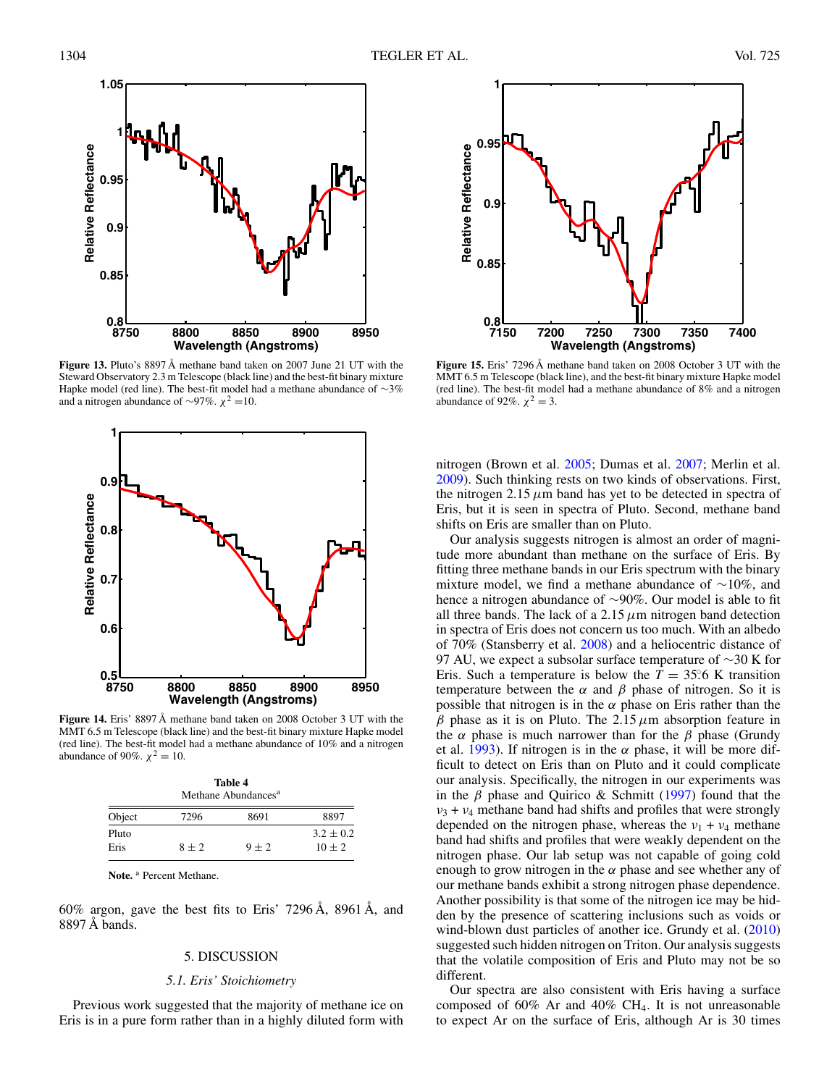<span id="page-8-0"></span>

**Figure 13.** Pluto's 8897 Å methane band taken on 2007 June 21 UT with the Steward Observatory 2.3 m Telescope (black line) and the best-fit binary mixture Hapke model (red line). The best-fit model had a methane abundance of ∼3% and a nitrogen abundance of ∼97%.  $χ<sup>2</sup> = 10$ .



MMT 6.5 m Telescope (black line) and the best-fit binary mixture Hapke model (red line). The best-fit model had a methane abundance of 10% and a nitrogen abundance of 90%.  $\chi^2 = 10$ .

| Table 4<br>Methane Abundances <sup>a</sup> |         |         |                         |  |  |
|--------------------------------------------|---------|---------|-------------------------|--|--|
| Object                                     | 7296    | 8691    | 8897                    |  |  |
| Pluto<br>Eris                              | $8 + 2$ | $9 + 2$ | $3.2 + 0.2$<br>$10 + 2$ |  |  |

**Note.** <sup>a</sup> Percent Methane.

60% argon, gave the best fits to Eris' 7296 Å, 8961 Å, and 8897 Å bands.

# 5. DISCUSSION

# *5.1. Eris' Stoichiometry*

Previous work suggested that the majority of methane ice on Eris is in a pure form rather than in a highly diluted form with



**Figure 15.** Eris' 7296 Å methane band taken on 2008 October 3 UT with the MMT 6.5 m Telescope (black line), and the best-fit binary mixture Hapke model (red line). The best-fit model had a methane abundance of 8% and a nitrogen abundance of 92%.  $\chi^2 = 3$ .

nitrogen (Brown et al. [2005;](#page-9-0) Dumas et al. [2007;](#page-9-0) Merlin et al. [2009\)](#page-9-0). Such thinking rests on two kinds of observations. First, the nitrogen 2.15  $\mu$ m band has yet to be detected in spectra of Eris, but it is seen in spectra of Pluto. Second, methane band shifts on Eris are smaller than on Pluto.

Our analysis suggests nitrogen is almost an order of magnitude more abundant than methane on the surface of Eris. By fitting three methane bands in our Eris spectrum with the binary mixture model, we find a methane abundance of ∼10%, and hence a nitrogen abundance of ∼90%. Our model is able to fit all three bands. The lack of a 2.15  $\mu$ m nitrogen band detection in spectra of Eris does not concern us too much. With an albedo of 70% (Stansberry et al. [2008\)](#page-9-0) and a heliocentric distance of 97 AU, we expect a subsolar surface temperature of ∼30 K for Eris. Such a temperature is below the  $T = 35.6$  K transition temperature between the  $\alpha$  and  $\beta$  phase of nitrogen. So it is possible that nitrogen is in the  $\alpha$  phase on Eris rather than the *β* phase as it is on Pluto. The 2.15*μ*m absorption feature in the  $\alpha$  phase is much narrower than for the  $\beta$  phase (Grundy et al. [1993\)](#page-9-0). If nitrogen is in the  $\alpha$  phase, it will be more difficult to detect on Eris than on Pluto and it could complicate our analysis. Specifically, the nitrogen in our experiments was in the *β* phase and Quirico & Schmitt [\(1997\)](#page-9-0) found that the  $v_3 + v_4$  methane band had shifts and profiles that were strongly depended on the nitrogen phase, whereas the  $v_1 + v_4$  methane band had shifts and profiles that were weakly dependent on the nitrogen phase. Our lab setup was not capable of going cold enough to grow nitrogen in the  $\alpha$  phase and see whether any of our methane bands exhibit a strong nitrogen phase dependence. Another possibility is that some of the nitrogen ice may be hidden by the presence of scattering inclusions such as voids or wind-blown dust particles of another ice. Grundy et al. [\(2010\)](#page-9-0) suggested such hidden nitrogen on Triton. Our analysis suggests that the volatile composition of Eris and Pluto may not be so different.

Our spectra are also consistent with Eris having a surface composed of 60% Ar and 40% CH4. It is not unreasonable to expect Ar on the surface of Eris, although Ar is 30 times